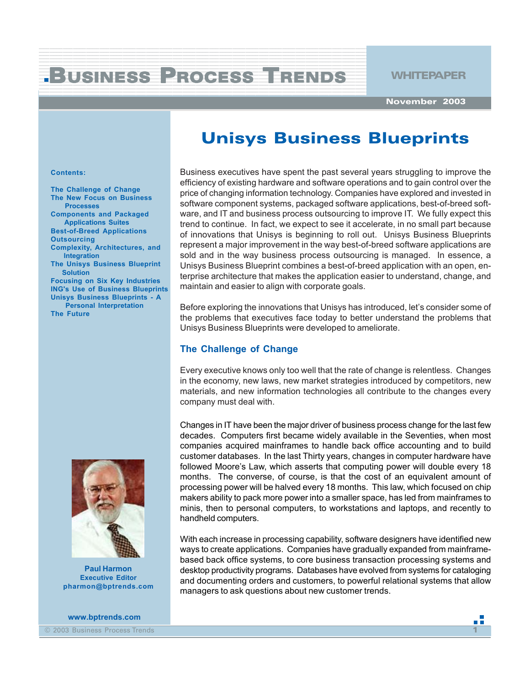#### 123456 2801 1234 September 23456789012345678901234567890123456789012345678901234567890123456789012345678901234567890123456 BUSINESS PROCESS TRENDS WHITEPAPER 1 4 12345678901234567890123456789012345678901234567890123456789012345678901234567890123456789012345678901234567890<br>12345678901234567890123456789012345678901234567890123456789012123456789012345678901234567890123456789012345678

12345678901234567890123456789012345678901234567890123456789012345678901234567890123456789012345678901234567890<br>12345678901234567890123456789012345678901234567890123456789012123456789012345678901234567890123456789012345678 12345678901234567890123456789012345678901234567890123456789012345678901234567890123456789012345678901234567890<br>12345678901234567890123456789012345678901234567890123456789012123456789012345678901234567890123456789012345678 12345678901234567890123456789012345678901234567890123456789012345678901234567890123456789012345678901234567890<br>12345678901234567890123456789012345678901234567890123456789012123456789012345678901234567890123456789012345678 1 4 12345678901234567890123456789012345678901234567890123456789012345678901234567890123456789012345678901234567890<br>12345678901234567890123456789012345678901234567890123456789012123456789012345678901234567890123456789012345678 1 4

1 de janvier de la companya de la companya de la companya de la companya de la companya de la companya de la c 1234567890123456789012345678901212345678901234567890123456789012123456789012345678901234567890121234

**November 2003**

# **Unisys Business Blueprints**

#### **Contents:**

**The Challenge of Change The New Focus on Business Processes Components and Packaged Applications Suites Best-of-Breed Applications Outsourcing Complexity, Architectures, and**

 **Integration The Unisys Business Blueprint Solution**

**Focusing on Six Key Industries ING's Use of Business Blueprints Unisys Business Blueprints - A Personal Interpretation The Future**

**Paul Harmon Executive Editor pharmon@bptrends.com**

**www.bptrends.com**

© 2003 Business Process Trends **1**

Business executives have spent the past several years struggling to improve the efficiency of existing hardware and software operations and to gain control over the price of changing information technology. Companies have explored and invested in software component systems, packaged software applications, best-of-breed software, and IT and business process outsourcing to improve IT. We fully expect this trend to continue. In fact, we expect to see it accelerate, in no small part because of innovations that Unisys is beginning to roll out. Unisys Business Blueprints represent a major improvement in the way best-of-breed software applications are sold and in the way business process outsourcing is managed. In essence, a Unisys Business Blueprint combines a best-of-breed application with an open, enterprise architecture that makes the application easier to understand, change, and maintain and easier to align with corporate goals.

Before exploring the innovations that Unisys has introduced, let's consider some of the problems that executives face today to better understand the problems that Unisys Business Blueprints were developed to ameliorate.

# **The Challenge of Change**

Every executive knows only too well that the rate of change is relentless. Changes in the economy, new laws, new market strategies introduced by competitors, new materials, and new information technologies all contribute to the changes every company must deal with.

Changes in IT have been the major driver of business process change for the last few decades. Computers first became widely available in the Seventies, when most companies acquired mainframes to handle back office accounting and to build customer databases. In the last Thirty years, changes in computer hardware have followed Moore's Law, which asserts that computing power will double every 18 months. The converse, of course, is that the cost of an equivalent amount of processing power will be halved every 18 months. This law, which focused on chip makers ability to pack more power into a smaller space, has led from mainframes to minis, then to personal computers, to workstations and laptops, and recently to handheld computers.

With each increase in processing capability, software designers have identified new ways to create applications. Companies have gradually expanded from mainframebased back office systems, to core business transaction processing systems and desktop productivity programs. Databases have evolved from systems for cataloging and documenting orders and customers, to powerful relational systems that allow managers to ask questions about new customer trends.

пĦ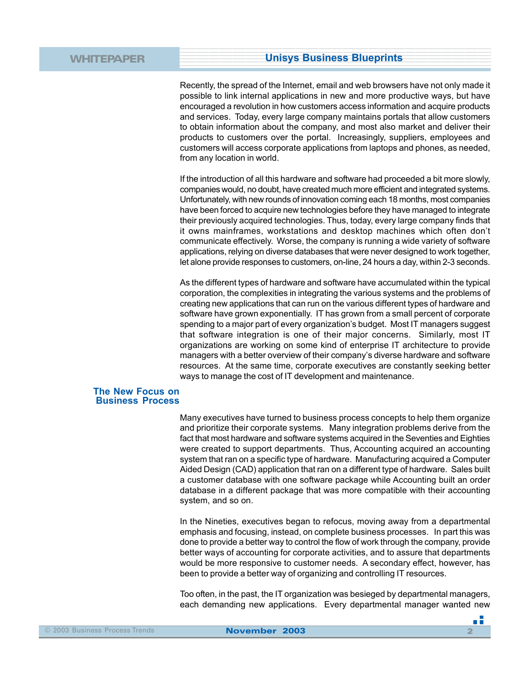Recently, the spread of the Internet, email and web browsers have not only made it possible to link internal applications in new and more productive ways, but have encouraged a revolution in how customers access information and acquire products and services. Today, every large company maintains portals that allow customers to obtain information about the company, and most also market and deliver their products to customers over the portal. Increasingly, suppliers, employees and customers will access corporate applications from laptops and phones, as needed, from any location in world.

If the introduction of all this hardware and software had proceeded a bit more slowly, companies would, no doubt, have created much more efficient and integrated systems. Unfortunately, with new rounds of innovation coming each 18 months, most companies have been forced to acquire new technologies before they have managed to integrate their previously acquired technologies. Thus, today, every large company finds that it owns mainframes, workstations and desktop machines which often don't communicate effectively. Worse, the company is running a wide variety of software applications, relying on diverse databases that were never designed to work together, let alone provide responses to customers, on-line, 24 hours a day, within 2-3 seconds.

As the different types of hardware and software have accumulated within the typical corporation, the complexities in integrating the various systems and the problems of creating new applications that can run on the various different types of hardware and software have grown exponentially. IT has grown from a small percent of corporate spending to a major part of every organization's budget. Most IT managers suggest that software integration is one of their major concerns. Similarly, most IT organizations are working on some kind of enterprise IT architecture to provide managers with a better overview of their company's diverse hardware and software resources. At the same time, corporate executives are constantly seeking better ways to manage the cost of IT development and maintenance.

### **The New Focus on Business Process**

Many executives have turned to business process concepts to help them organize and prioritize their corporate systems. Many integration problems derive from the fact that most hardware and software systems acquired in the Seventies and Eighties were created to support departments. Thus, Accounting acquired an accounting system that ran on a specific type of hardware. Manufacturing acquired a Computer Aided Design (CAD) application that ran on a different type of hardware. Sales built a customer database with one software package while Accounting built an order database in a different package that was more compatible with their accounting system, and so on.

In the Nineties, executives began to refocus, moving away from a departmental emphasis and focusing, instead, on complete business processes. In part this was done to provide a better way to control the flow of work through the company, provide better ways of accounting for corporate activities, and to assure that departments would be more responsive to customer needs. A secondary effect, however, has been to provide a better way of organizing and controlling IT resources.

Too often, in the past, the IT organization was besieged by departmental managers, each demanding new applications. Every departmental manager wanted new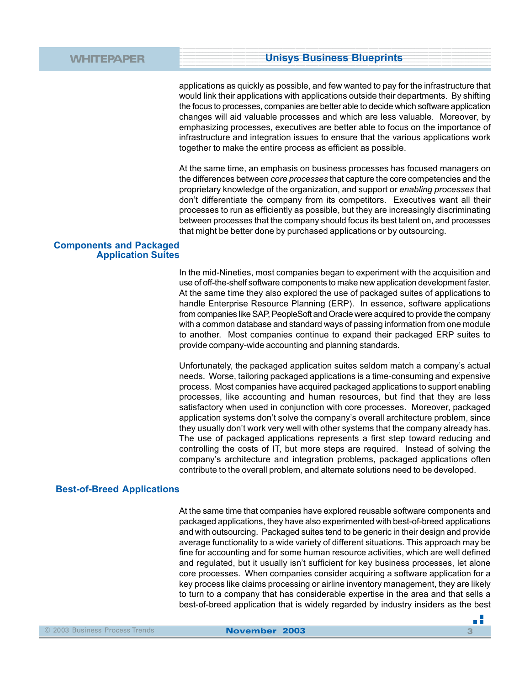applications as quickly as possible, and few wanted to pay for the infrastructure that would link their applications with applications outside their departments. By shifting the focus to processes, companies are better able to decide which software application changes will aid valuable processes and which are less valuable. Moreover, by emphasizing processes, executives are better able to focus on the importance of infrastructure and integration issues to ensure that the various applications work together to make the entire process as efficient as possible.

At the same time, an emphasis on business processes has focused managers on the differences between *core processes* that capture the core competencies and the proprietary knowledge of the organization, and support or *enabling processes* that don't differentiate the company from its competitors. Executives want all their processes to run as efficiently as possible, but they are increasingly discriminating between processes that the company should focus its best talent on, and processes that might be better done by purchased applications or by outsourcing.

### **Components and Packaged Application Suites**

In the mid-Nineties, most companies began to experiment with the acquisition and use of off-the-shelf software components to make new application development faster. At the same time they also explored the use of packaged suites of applications to handle Enterprise Resource Planning (ERP). In essence, software applications from companies like SAP, PeopleSoft and Oracle were acquired to provide the company with a common database and standard ways of passing information from one module to another. Most companies continue to expand their packaged ERP suites to provide company-wide accounting and planning standards.

Unfortunately, the packaged application suites seldom match a company's actual needs. Worse, tailoring packaged applications is a time-consuming and expensive process. Most companies have acquired packaged applications to support enabling processes, like accounting and human resources, but find that they are less satisfactory when used in conjunction with core processes. Moreover, packaged application systems don't solve the company's overall architecture problem, since they usually don't work very well with other systems that the company already has. The use of packaged applications represents a first step toward reducing and controlling the costs of IT, but more steps are required. Instead of solving the company's architecture and integration problems, packaged applications often contribute to the overall problem, and alternate solutions need to be developed.

# **Best-of-Breed Applications**

At the same time that companies have explored reusable software components and packaged applications, they have also experimented with best-of-breed applications and with outsourcing. Packaged suites tend to be generic in their design and provide average functionality to a wide variety of different situations. This approach may be fine for accounting and for some human resource activities, which are well defined and regulated, but it usually isn't sufficient for key business processes, let alone core processes. When companies consider acquiring a software application for a key process like claims processing or airline inventory management, they are likely to turn to a company that has considerable expertise in the area and that sells a best-of-breed application that is widely regarded by industry insiders as the best

- 5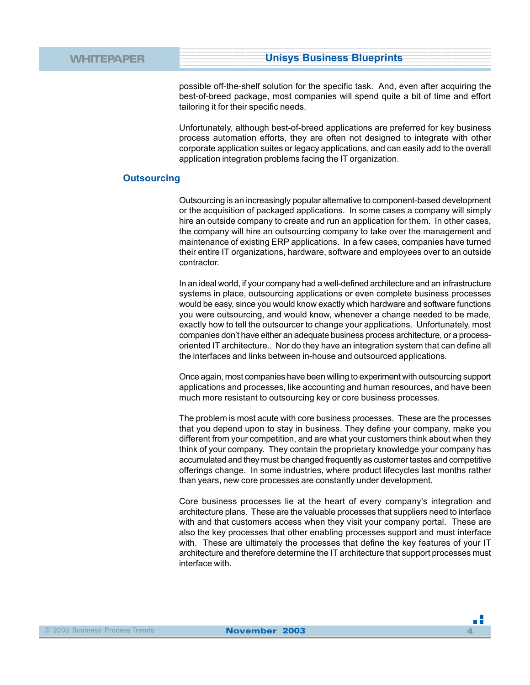possible off-the-shelf solution for the specific task. And, even after acquiring the best-of-breed package, most companies will spend quite a bit of time and effort tailoring it for their specific needs.

Unfortunately, although best-of-breed applications are preferred for key business process automation efforts, they are often not designed to integrate with other corporate application suites or legacy applications, and can easily add to the overall application integration problems facing the IT organization.

### **Outsourcing**

Outsourcing is an increasingly popular alternative to component-based development or the acquisition of packaged applications. In some cases a company will simply hire an outside company to create and run an application for them. In other cases, the company will hire an outsourcing company to take over the management and maintenance of existing ERP applications. In a few cases, companies have turned their entire IT organizations, hardware, software and employees over to an outside contractor.

In an ideal world, if your company had a well-defined architecture and an infrastructure systems in place, outsourcing applications or even complete business processes would be easy, since you would know exactly which hardware and software functions you were outsourcing, and would know, whenever a change needed to be made, exactly how to tell the outsourcer to change your applications. Unfortunately, most companies don't have either an adequate business process architecture, or a processoriented IT architecture.. Nor do they have an integration system that can define all the interfaces and links between in-house and outsourced applications.

Once again, most companies have been willing to experiment with outsourcing support applications and processes, like accounting and human resources, and have been much more resistant to outsourcing key or core business processes.

The problem is most acute with core business processes. These are the processes that you depend upon to stay in business. They define your company, make you different from your competition, and are what your customers think about when they think of your company. They contain the proprietary knowledge your company has accumulated and they must be changed frequently as customer tastes and competitive offerings change. In some industries, where product lifecycles last months rather than years, new core processes are constantly under development.

Core business processes lie at the heart of every company's integration and architecture plans. These are the valuable processes that suppliers need to interface with and that customers access when they visit your company portal. These are also the key processes that other enabling processes support and must interface with. These are ultimately the processes that define the key features of your IT architecture and therefore determine the IT architecture that support processes must interface with.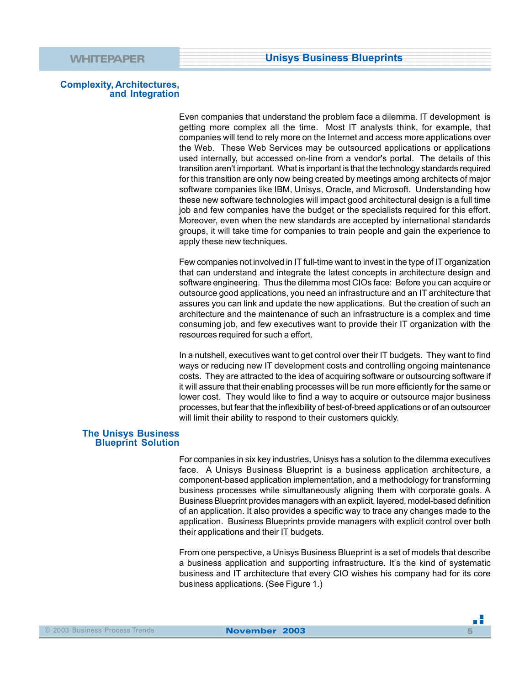# **Complexity, Architectures, and Integration**

Even companies that understand the problem face a dilemma. IT development is getting more complex all the time. Most IT analysts think, for example, that companies will tend to rely more on the Internet and access more applications over the Web. These Web Services may be outsourced applications or applications used internally, but accessed on-line from a vendor's portal. The details of this transition aren't important. What is important is that the technology standards required for this transition are only now being created by meetings among architects of major software companies like IBM, Unisys, Oracle, and Microsoft. Understanding how these new software technologies will impact good architectural design is a full time job and few companies have the budget or the specialists required for this effort. Moreover, even when the new standards are accepted by international standards groups, it will take time for companies to train people and gain the experience to apply these new techniques.

Few companies not involved in IT full-time want to invest in the type of IT organization that can understand and integrate the latest concepts in architecture design and software engineering. Thus the dilemma most CIOs face: Before you can acquire or outsource good applications, you need an infrastructure and an IT architecture that assures you can link and update the new applications. But the creation of such an architecture and the maintenance of such an infrastructure is a complex and time consuming job, and few executives want to provide their IT organization with the resources required for such a effort.

In a nutshell, executives want to get control over their IT budgets. They want to find ways or reducing new IT development costs and controlling ongoing maintenance costs. They are attracted to the idea of acquiring software or outsourcing software if it will assure that their enabling processes will be run more efficiently for the same or lower cost. They would like to find a way to acquire or outsource major business processes, but fear that the inflexibility of best-of-breed applications or of an outsourcer will limit their ability to respond to their customers quickly.

### **The Unisys Business Blueprint Solution**

For companies in six key industries, Unisys has a solution to the dilemma executives face. A Unisys Business Blueprint is a business application architecture, a component-based application implementation, and a methodology for transforming business processes while simultaneously aligning them with corporate goals. A Business Blueprint provides managers with an explicit, layered, model-based definition of an application. It also provides a specific way to trace any changes made to the application. Business Blueprints provide managers with explicit control over both their applications and their IT budgets.

From one perspective, a Unisys Business Blueprint is a set of models that describe a business application and supporting infrastructure. It's the kind of systematic business and IT architecture that every CIO wishes his company had for its core business applications. (See Figure 1.)

пĒ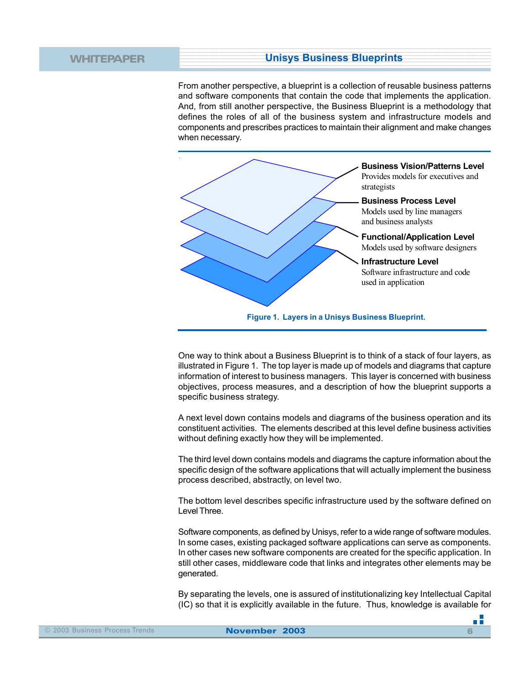From another perspective, a blueprint is a collection of reusable business patterns and software components that contain the code that implements the application. And, from still another perspective, the Business Blueprint is a methodology that defines the roles of all of the business system and infrastructure models and components and prescribes practices to maintain their alignment and make changes when necessary.



One way to think about a Business Blueprint is to think of a stack of four layers, as illustrated in Figure 1. The top layer is made up of models and diagrams that capture information of interest to business managers. This layer is concerned with business objectives, process measures, and a description of how the blueprint supports a specific business strategy.

A next level down contains models and diagrams of the business operation and its constituent activities. The elements described at this level define business activities without defining exactly how they will be implemented.

The third level down contains models and diagrams the capture information about the specific design of the software applications that will actually implement the business process described, abstractly, on level two.

The bottom level describes specific infrastructure used by the software defined on Level Three.

Software components, as defined by Unisys, refer to a wide range of software modules. In some cases, existing packaged software applications can serve as components. In other cases new software components are created for the specific application. In still other cases, middleware code that links and integrates other elements may be generated.

By separating the levels, one is assured of institutionalizing key Intellectual Capital (IC) so that it is explicitly available in the future. Thus, knowledge is available for

- 5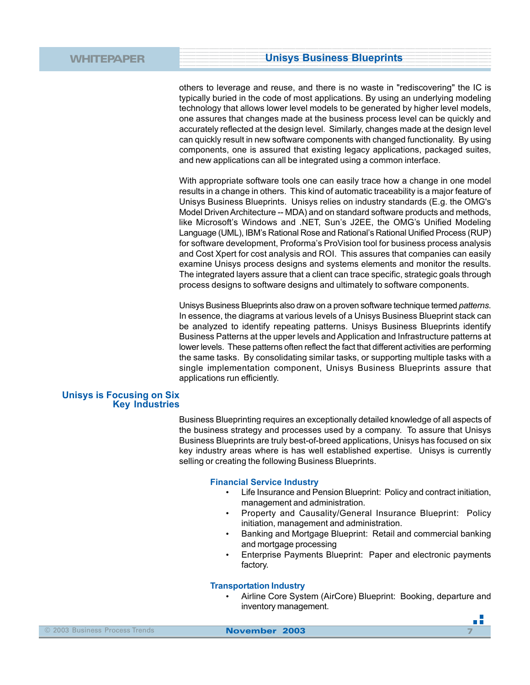others to leverage and reuse, and there is no waste in "rediscovering" the IC is typically buried in the code of most applications. By using an underlying modeling technology that allows lower level models to be generated by higher level models, one assures that changes made at the business process level can be quickly and accurately reflected at the design level. Similarly, changes made at the design level can quickly result in new software components with changed functionality. By using components, one is assured that existing legacy applications, packaged suites, and new applications can all be integrated using a common interface.

With appropriate software tools one can easily trace how a change in one model results in a change in others. This kind of automatic traceability is a major feature of Unisys Business Blueprints. Unisys relies on industry standards (E.g. the OMG's Model Driven Architecture -- MDA) and on standard software products and methods, like Microsoft's Windows and .NET, Sun's J2EE, the OMG's Unified Modeling Language (UML), IBM's Rational Rose and Rational's Rational Unified Process (RUP) for software development, Proforma's ProVision tool for business process analysis and Cost Xpert for cost analysis and ROI. This assures that companies can easily examine Unisys process designs and systems elements and monitor the results. The integrated layers assure that a client can trace specific, strategic goals through process designs to software designs and ultimately to software components.

Unisys Business Blueprints also draw on a proven software technique termed *patterns*. In essence, the diagrams at various levels of a Unisys Business Blueprint stack can be analyzed to identify repeating patterns. Unisys Business Blueprints identify Business Patterns at the upper levels and Application and Infrastructure patterns at lower levels. These patterns often reflect the fact that different activities are performing the same tasks. By consolidating similar tasks, or supporting multiple tasks with a single implementation component, Unisys Business Blueprints assure that applications run efficiently.

### **Unisys is Focusing on Six Key Industries**

Business Blueprinting requires an exceptionally detailed knowledge of all aspects of the business strategy and processes used by a company. To assure that Unisys Business Blueprints are truly best-of-breed applications, Unisys has focused on six key industry areas where is has well established expertise. Unisys is currently selling or creating the following Business Blueprints.

### **Financial Service Industry**

- Life Insurance and Pension Blueprint: Policy and contract initiation, management and administration.
- Property and Causality/General Insurance Blueprint: Policy initiation, management and administration.
- Banking and Mortgage Blueprint: Retail and commercial banking and mortgage processing
- Enterprise Payments Blueprint: Paper and electronic payments factory.

#### **Transportation Industry**

• Airline Core System (AirCore) Blueprint: Booking, departure and inventory management.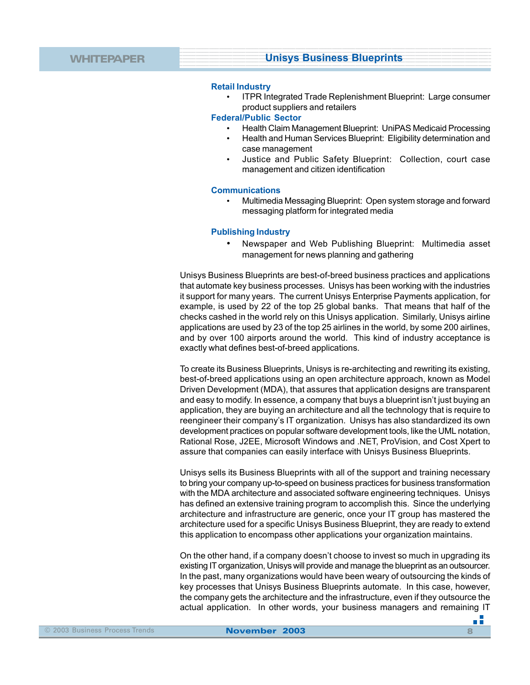### **Retail Industry**

• ITPR Integrated Trade Replenishment Blueprint: Large consumer product suppliers and retailers

### **Federal/Public Sector**

- Health Claim Management Blueprint: UniPAS Medicaid Processing
- Health and Human Services Blueprint: Eligibility determination and case management
- Justice and Public Safety Blueprint: Collection, court case management and citizen identification

# **Communications**

• Multimedia Messaging Blueprint: Open system storage and forward messaging platform for integrated media

### **Publishing Industry**

• Newspaper and Web Publishing Blueprint: Multimedia asset management for news planning and gathering

Unisys Business Blueprints are best-of-breed business practices and applications that automate key business processes. Unisys has been working with the industries it support for many years. The current Unisys Enterprise Payments application, for example, is used by 22 of the top 25 global banks. That means that half of the checks cashed in the world rely on this Unisys application. Similarly, Unisys airline applications are used by 23 of the top 25 airlines in the world, by some 200 airlines, and by over 100 airports around the world. This kind of industry acceptance is exactly what defines best-of-breed applications.

To create its Business Blueprints, Unisys is re-architecting and rewriting its existing, best-of-breed applications using an open architecture approach, known as Model Driven Development (MDA), that assures that application designs are transparent and easy to modify. In essence, a company that buys a blueprint isn't just buying an application, they are buying an architecture and all the technology that is require to reengineer their company's IT organization. Unisys has also standardized its own development practices on popular software development tools, like the UML notation, Rational Rose, J2EE, Microsoft Windows and .NET, ProVision, and Cost Xpert to assure that companies can easily interface with Unisys Business Blueprints.

Unisys sells its Business Blueprints with all of the support and training necessary to bring your company up-to-speed on business practices for business transformation with the MDA architecture and associated software engineering techniques. Unisys has defined an extensive training program to accomplish this. Since the underlying architecture and infrastructure are generic, once your IT group has mastered the architecture used for a specific Unisys Business Blueprint, they are ready to extend this application to encompass other applications your organization maintains.

On the other hand, if a company doesn't choose to invest so much in upgrading its existing IT organization, Unisys will provide and manage the blueprint as an outsourcer. In the past, many organizations would have been weary of outsourcing the kinds of key processes that Unisys Business Blueprints automate. In this case, however, the company gets the architecture and the infrastructure, even if they outsource the actual application. In other words, your business managers and remaining IT

۰.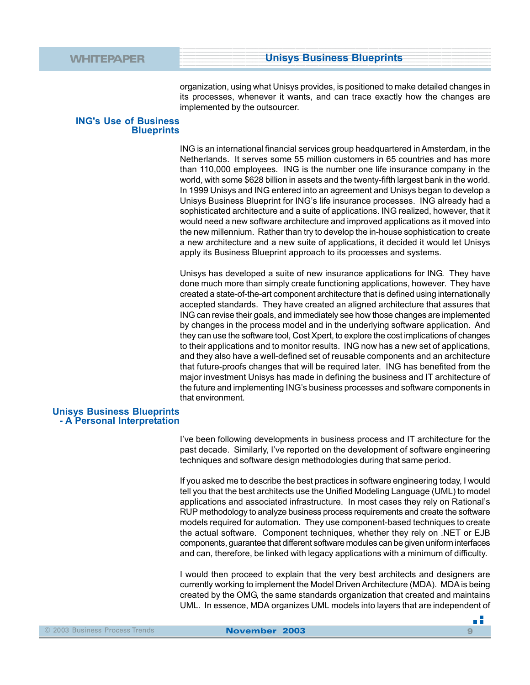organization, using what Unisys provides, is positioned to make detailed changes in its processes, whenever it wants, and can trace exactly how the changes are implemented by the outsourcer.

### **ING's Use of Business Blueprints**

ING is an international financial services group headquartered in Amsterdam, in the Netherlands. It serves some 55 million customers in 65 countries and has more than 110,000 employees. ING is the number one life insurance company in the world, with some \$628 billion in assets and the twenty-fifth largest bank in the world. In 1999 Unisys and ING entered into an agreement and Unisys began to develop a Unisys Business Blueprint for ING's life insurance processes. ING already had a sophisticated architecture and a suite of applications. ING realized, however, that it would need a new software architecture and improved applications as it moved into the new millennium. Rather than try to develop the in-house sophistication to create a new architecture and a new suite of applications, it decided it would let Unisys apply its Business Blueprint approach to its processes and systems.

Unisys has developed a suite of new insurance applications for ING. They have done much more than simply create functioning applications, however. They have created a state-of-the-art component architecture that is defined using internationally accepted standards. They have created an aligned architecture that assures that ING can revise their goals, and immediately see how those changes are implemented by changes in the process model and in the underlying software application. And they can use the software tool, Cost Xpert, to explore the cost implications of changes to their applications and to monitor results. ING now has a new set of applications, and they also have a well-defined set of reusable components and an architecture that future-proofs changes that will be required later. ING has benefited from the major investment Unisys has made in defining the business and IT architecture of the future and implementing ING's business processes and software components in that environment.

### **Unisys Business Blueprints - A Personal Interpretation**

I've been following developments in business process and IT architecture for the past decade. Similarly, I've reported on the development of software engineering techniques and software design methodologies during that same period.

If you asked me to describe the best practices in software engineering today, I would tell you that the best architects use the Unified Modeling Language (UML) to model applications and associated infrastructure. In most cases they rely on Rational's RUP methodology to analyze business process requirements and create the software models required for automation. They use component-based techniques to create the actual software. Component techniques, whether they rely on .NET or EJB components, guarantee that different software modules can be given uniform interfaces and can, therefore, be linked with legacy applications with a minimum of difficulty.

I would then proceed to explain that the very best architects and designers are currently working to implement the Model Driven Architecture (MDA). MDA is being created by the OMG, the same standards organization that created and maintains UML. In essence, MDA organizes UML models into layers that are independent of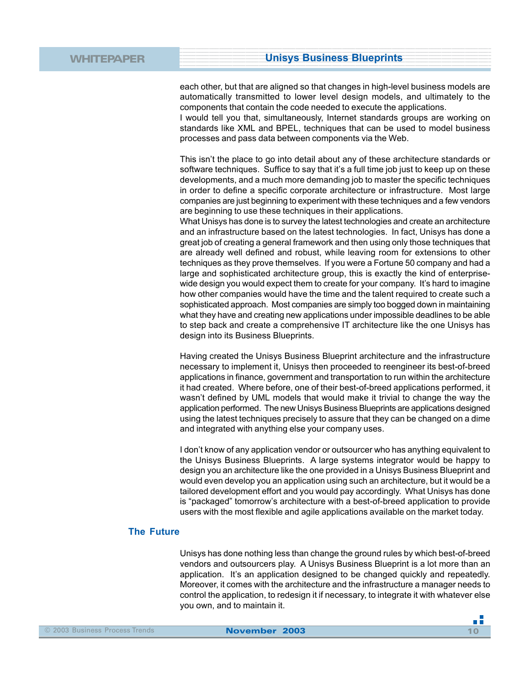each other, but that are aligned so that changes in high-level business models are automatically transmitted to lower level design models, and ultimately to the components that contain the code needed to execute the applications.

I would tell you that, simultaneously, Internet standards groups are working on standards like XML and BPEL, techniques that can be used to model business processes and pass data between components via the Web.

This isn't the place to go into detail about any of these architecture standards or software techniques. Suffice to say that it's a full time job just to keep up on these developments, and a much more demanding job to master the specific techniques in order to define a specific corporate architecture or infrastructure. Most large companies are just beginning to experiment with these techniques and a few vendors are beginning to use these techniques in their applications.

What Unisys has done is to survey the latest technologies and create an architecture and an infrastructure based on the latest technologies. In fact, Unisys has done a great job of creating a general framework and then using only those techniques that are already well defined and robust, while leaving room for extensions to other techniques as they prove themselves. If you were a Fortune 50 company and had a large and sophisticated architecture group, this is exactly the kind of enterprisewide design you would expect them to create for your company. It's hard to imagine how other companies would have the time and the talent required to create such a sophisticated approach. Most companies are simply too bogged down in maintaining what they have and creating new applications under impossible deadlines to be able to step back and create a comprehensive IT architecture like the one Unisys has design into its Business Blueprints.

Having created the Unisys Business Blueprint architecture and the infrastructure necessary to implement it, Unisys then proceeded to reengineer its best-of-breed applications in finance, government and transportation to run within the architecture it had created. Where before, one of their best-of-breed applications performed, it wasn't defined by UML models that would make it trivial to change the way the application performed. The new Unisys Business Blueprints are applications designed using the latest techniques precisely to assure that they can be changed on a dime and integrated with anything else your company uses.

I don't know of any application vendor or outsourcer who has anything equivalent to the Unisys Business Blueprints. A large systems integrator would be happy to design you an architecture like the one provided in a Unisys Business Blueprint and would even develop you an application using such an architecture, but it would be a tailored development effort and you would pay accordingly. What Unisys has done is "packaged" tomorrow's architecture with a best-of-breed application to provide users with the most flexible and agile applications available on the market today.

# **The Future**

Unisys has done nothing less than change the ground rules by which best-of-breed vendors and outsourcers play. A Unisys Business Blueprint is a lot more than an application. It's an application designed to be changed quickly and repeatedly. Moreover, it comes with the architecture and the infrastructure a manager needs to control the application, to redesign it if necessary, to integrate it with whatever else you own, and to maintain it.

пĒ